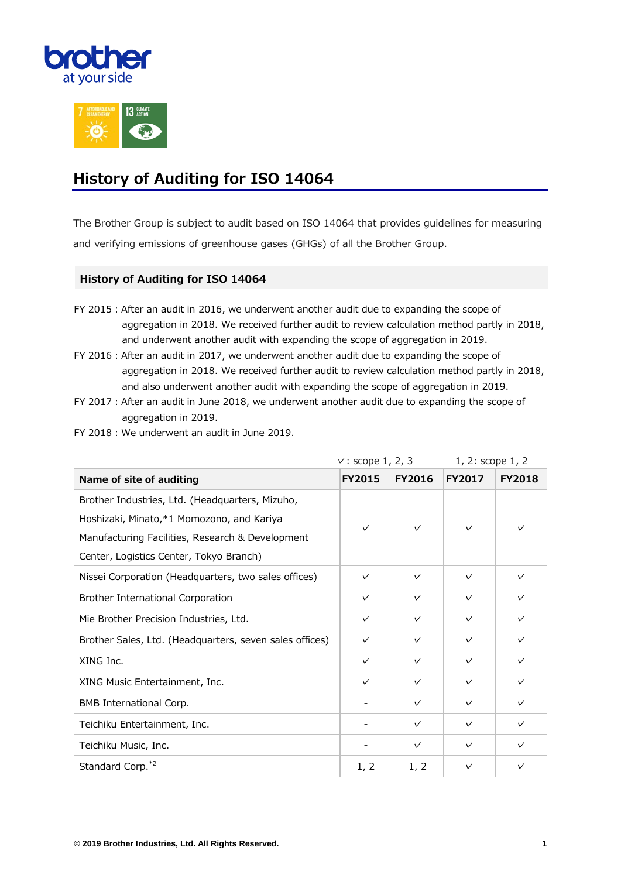



## **History of Auditing for ISO 14064**

The Brother Group is subject to audit based on ISO 14064 that provides guidelines for measuring and verifying emissions of greenhouse gases (GHGs) of all the Brother Group.

## **History of Auditing for ISO 14064**

- FY 2015: After an audit in 2016, we underwent another audit due to expanding the scope of aggregation in 2018. We received further audit to review calculation method partly in 2018, and underwent another audit with expanding the scope of aggregation in 2019.
- FY 2016: After an audit in 2017, we underwent another audit due to expanding the scope of aggregation in 2018. We received further audit to review calculation method partly in 2018, and also underwent another audit with expanding the scope of aggregation in 2019.
- FY 2017: After an audit in June 2018, we underwent another audit due to expanding the scope of aggregation in 2019.
- FY 2018 : We underwent an audit in June 2019.

|                                                         | $\vee$ : scope 1, 2, 3 |               | 1, 2: scope 1, 2 |               |
|---------------------------------------------------------|------------------------|---------------|------------------|---------------|
| Name of site of auditing                                | <b>FY2015</b>          | <b>FY2016</b> | <b>FY2017</b>    | <b>FY2018</b> |
| Brother Industries, Ltd. (Headquarters, Mizuho,         | $\checkmark$           | $\checkmark$  | $\checkmark$     | $\vee$        |
| Hoshizaki, Minato, *1 Momozono, and Kariya              |                        |               |                  |               |
| Manufacturing Facilities, Research & Development        |                        |               |                  |               |
| Center, Logistics Center, Tokyo Branch)                 |                        |               |                  |               |
| Nissei Corporation (Headquarters, two sales offices)    | $\checkmark$           | $\checkmark$  | $\checkmark$     | $\checkmark$  |
| Brother International Corporation                       | $\checkmark$           | $\checkmark$  | $\checkmark$     | $\checkmark$  |
| Mie Brother Precision Industries, Ltd.                  | $\checkmark$           | $\checkmark$  | $\checkmark$     | $\checkmark$  |
| Brother Sales, Ltd. (Headquarters, seven sales offices) | $\checkmark$           | $\checkmark$  | $\checkmark$     | $\checkmark$  |
| XING Inc.                                               | $\checkmark$           | $\checkmark$  | $\checkmark$     | $\checkmark$  |
| XING Music Entertainment, Inc.                          | $\checkmark$           | $\checkmark$  | $\checkmark$     | $\checkmark$  |
| BMB International Corp.                                 |                        | $\checkmark$  | $\checkmark$     | $\checkmark$  |
| Teichiku Entertainment, Inc.                            |                        | $\checkmark$  | $\checkmark$     | $\checkmark$  |
| Teichiku Music, Inc.                                    |                        | $\checkmark$  | $\checkmark$     | $\checkmark$  |
| Standard Corp. <sup>*2</sup>                            | 1, 2                   | 1, 2          | $\checkmark$     | $\checkmark$  |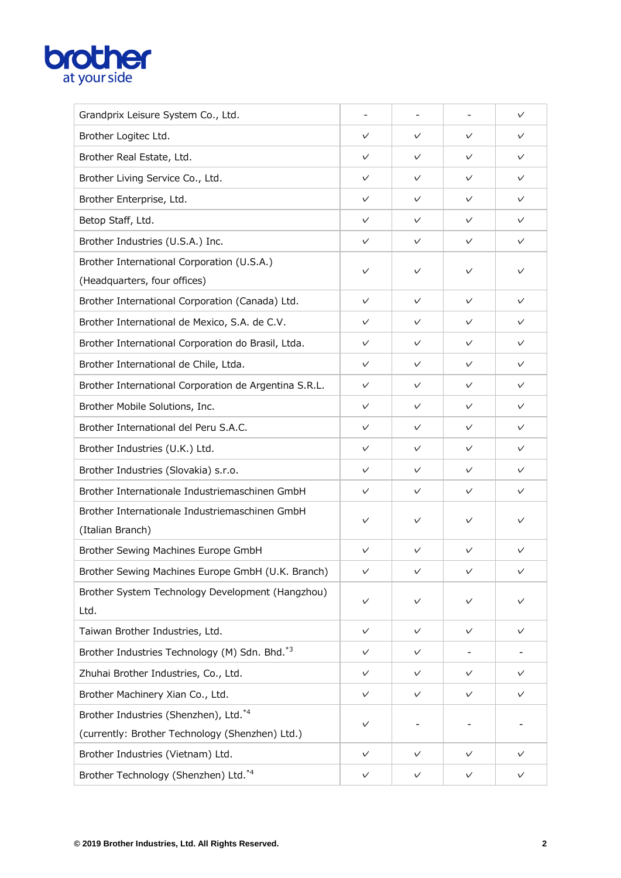## **brother**

| Grandprix Leisure System Co., Ltd.                                 |              |              |              | $\checkmark$ |
|--------------------------------------------------------------------|--------------|--------------|--------------|--------------|
| Brother Logitec Ltd.                                               | $\checkmark$ | $\checkmark$ | $\checkmark$ | $\checkmark$ |
| Brother Real Estate, Ltd.                                          | $\checkmark$ | $\checkmark$ | $\checkmark$ | $\checkmark$ |
| Brother Living Service Co., Ltd.                                   | $\checkmark$ | $\checkmark$ | $\checkmark$ | $\checkmark$ |
| Brother Enterprise, Ltd.                                           | $\checkmark$ | $\checkmark$ | $\checkmark$ | $\checkmark$ |
| Betop Staff, Ltd.                                                  | $\checkmark$ | $\checkmark$ | $\checkmark$ | $\checkmark$ |
| Brother Industries (U.S.A.) Inc.                                   | $\checkmark$ | $\checkmark$ | $\checkmark$ | $\checkmark$ |
| Brother International Corporation (U.S.A.)                         | $\checkmark$ | $\checkmark$ | $\checkmark$ | $\checkmark$ |
| (Headquarters, four offices)                                       |              |              |              |              |
| Brother International Corporation (Canada) Ltd.                    | $\checkmark$ | $\checkmark$ | $\checkmark$ | $\checkmark$ |
| Brother International de Mexico, S.A. de C.V.                      | $\checkmark$ | $\checkmark$ | $\checkmark$ | $\checkmark$ |
| Brother International Corporation do Brasil, Ltda.                 | $\checkmark$ | $\checkmark$ | $\checkmark$ | $\checkmark$ |
| Brother International de Chile, Ltda.                              | $\checkmark$ | $\checkmark$ | $\checkmark$ | $\checkmark$ |
| Brother International Corporation de Argentina S.R.L.              | $\checkmark$ | $\checkmark$ | $\checkmark$ | $\checkmark$ |
| Brother Mobile Solutions, Inc.                                     | $\checkmark$ | $\checkmark$ | $\checkmark$ | $\checkmark$ |
| Brother International del Peru S.A.C.                              | $\checkmark$ | $\checkmark$ | $\checkmark$ | $\checkmark$ |
| Brother Industries (U.K.) Ltd.                                     | $\checkmark$ | $\checkmark$ | $\checkmark$ | $\checkmark$ |
| Brother Industries (Slovakia) s.r.o.                               | V            | $\checkmark$ | $\checkmark$ | $\checkmark$ |
| Brother Internationale Industriemaschinen GmbH                     | $\checkmark$ | $\checkmark$ | $\checkmark$ | $\checkmark$ |
| Brother Internationale Industriemaschinen GmbH<br>(Italian Branch) | $\checkmark$ | $\checkmark$ | $\checkmark$ | $\checkmark$ |
| Brother Sewing Machines Europe GmbH                                | $\checkmark$ | $\checkmark$ | $\checkmark$ | $\checkmark$ |
| Brother Sewing Machines Europe GmbH (U.K. Branch)                  |              |              |              |              |
| Brother System Technology Development (Hangzhou)                   |              |              |              |              |
| Ltd.                                                               | $\checkmark$ | $\checkmark$ | $\checkmark$ | $\checkmark$ |
| Taiwan Brother Industries, Ltd.                                    | $\checkmark$ | $\checkmark$ | $\checkmark$ | $\checkmark$ |
| Brother Industries Technology (M) Sdn. Bhd.*3                      | $\checkmark$ | $\checkmark$ |              |              |
| Zhuhai Brother Industries, Co., Ltd.                               | $\checkmark$ | $\checkmark$ | $\checkmark$ | $\checkmark$ |
| Brother Machinery Xian Co., Ltd.                                   | $\checkmark$ | $\checkmark$ | $\checkmark$ | $\checkmark$ |
| Brother Industries (Shenzhen), Ltd.*4                              | $\checkmark$ |              |              |              |
| (currently: Brother Technology (Shenzhen) Ltd.)                    |              |              |              |              |
| Brother Industries (Vietnam) Ltd.                                  | $\checkmark$ | $\checkmark$ | $\checkmark$ | $\checkmark$ |
| Brother Technology (Shenzhen) Ltd.*4                               | $\checkmark$ | V            | $\checkmark$ | $\checkmark$ |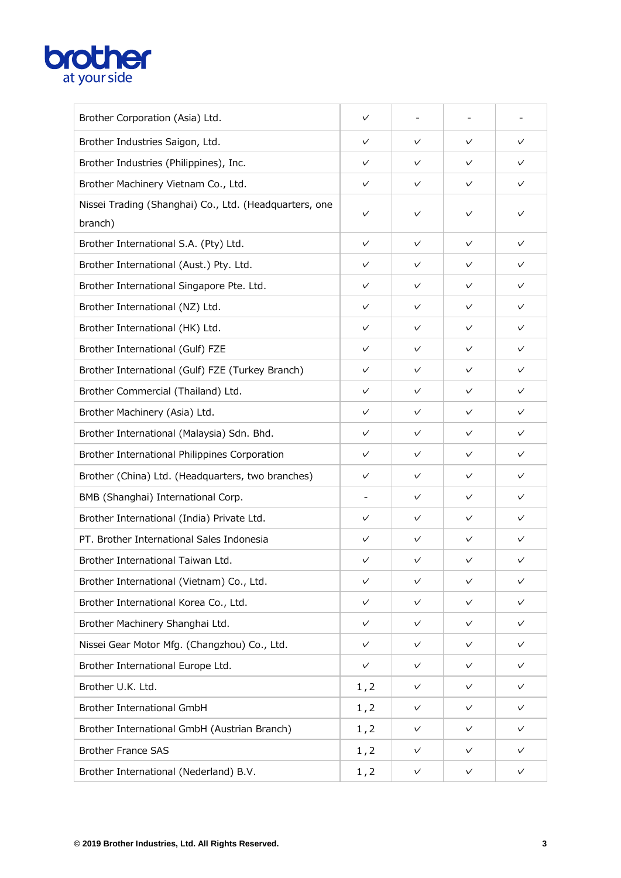

| Brother Corporation (Asia) Ltd.                                   | $\checkmark$ |              |              |              |
|-------------------------------------------------------------------|--------------|--------------|--------------|--------------|
| Brother Industries Saigon, Ltd.                                   | $\checkmark$ | $\checkmark$ | $\checkmark$ | $\checkmark$ |
| Brother Industries (Philippines), Inc.                            | $\checkmark$ | $\checkmark$ | $\checkmark$ | $\checkmark$ |
| Brother Machinery Vietnam Co., Ltd.                               | $\checkmark$ | $\checkmark$ | $\checkmark$ | $\checkmark$ |
| Nissei Trading (Shanghai) Co., Ltd. (Headquarters, one<br>branch) | $\checkmark$ | $\checkmark$ | $\checkmark$ | $\checkmark$ |
| Brother International S.A. (Pty) Ltd.                             | $\checkmark$ | $\checkmark$ | $\checkmark$ | $\checkmark$ |
| Brother International (Aust.) Pty. Ltd.                           | $\checkmark$ | $\checkmark$ | $\checkmark$ | $\checkmark$ |
| Brother International Singapore Pte. Ltd.                         | $\checkmark$ | $\checkmark$ | $\checkmark$ | $\checkmark$ |
| Brother International (NZ) Ltd.                                   | $\checkmark$ | $\checkmark$ | $\checkmark$ | $\checkmark$ |
| Brother International (HK) Ltd.                                   | $\checkmark$ | $\checkmark$ | $\checkmark$ | $\checkmark$ |
| Brother International (Gulf) FZE                                  | $\checkmark$ | $\checkmark$ | $\checkmark$ | $\checkmark$ |
| Brother International (Gulf) FZE (Turkey Branch)                  | $\checkmark$ | $\checkmark$ | $\checkmark$ | $\checkmark$ |
| Brother Commercial (Thailand) Ltd.                                | $\checkmark$ | $\checkmark$ | $\checkmark$ | $\checkmark$ |
| Brother Machinery (Asia) Ltd.                                     | $\checkmark$ | $\checkmark$ | $\checkmark$ | $\checkmark$ |
| Brother International (Malaysia) Sdn. Bhd.                        | $\checkmark$ | $\checkmark$ | $\checkmark$ | $\checkmark$ |
| Brother International Philippines Corporation                     | $\checkmark$ | $\checkmark$ | $\checkmark$ | $\checkmark$ |
| Brother (China) Ltd. (Headquarters, two branches)                 | $\checkmark$ | $\checkmark$ | $\checkmark$ | $\checkmark$ |
| BMB (Shanghai) International Corp.                                |              | $\checkmark$ | $\checkmark$ | $\checkmark$ |
| Brother International (India) Private Ltd.                        | $\checkmark$ | $\checkmark$ | $\checkmark$ | $\checkmark$ |
| PT. Brother International Sales Indonesia                         | $\checkmark$ | $\checkmark$ | $\checkmark$ | $\checkmark$ |
| Brother International Taiwan Ltd.                                 | $\checkmark$ | $\checkmark$ | $\checkmark$ | $\checkmark$ |
| Brother International (Vietnam) Co., Ltd.                         | $\checkmark$ | $\checkmark$ | $\checkmark$ | $\checkmark$ |
| Brother International Korea Co., Ltd.                             | $\checkmark$ | $\checkmark$ | $\checkmark$ | $\checkmark$ |
| Brother Machinery Shanghai Ltd.                                   | $\checkmark$ | $\checkmark$ | $\checkmark$ | $\checkmark$ |
| Nissei Gear Motor Mfg. (Changzhou) Co., Ltd.                      | $\checkmark$ | $\checkmark$ | $\checkmark$ | $\checkmark$ |
| Brother International Europe Ltd.                                 | $\checkmark$ | $\checkmark$ | $\checkmark$ | $\checkmark$ |
| Brother U.K. Ltd.                                                 | 1, 2         | $\checkmark$ | $\checkmark$ | $\checkmark$ |
| <b>Brother International GmbH</b>                                 | 1, 2         | $\checkmark$ | $\checkmark$ | $\checkmark$ |
| Brother International GmbH (Austrian Branch)                      | 1, 2         | $\checkmark$ | $\checkmark$ | $\checkmark$ |
| <b>Brother France SAS</b>                                         | 1, 2         | $\checkmark$ | $\checkmark$ | $\checkmark$ |
| Brother International (Nederland) B.V.                            | 1, 2         | $\checkmark$ | $\checkmark$ | V            |